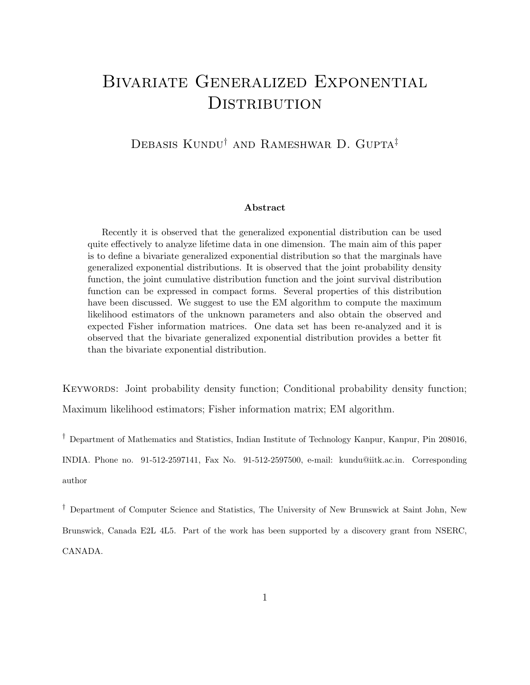# Bivariate Generalized Exponential **DISTRIBUTION**

#### DEBASIS KUNDU<sup>†</sup> AND RAMESHWAR D. GUPTA<sup>‡</sup>

#### Abstract

Recently it is observed that the generalized exponential distribution can be used quite effectively to analyze lifetime data in one dimension. The main aim of this paper is to define a bivariate generalized exponential distribution so that the marginals have generalized exponential distributions. It is observed that the joint probability density function, the joint cumulative distribution function and the joint survival distribution function can be expressed in compact forms. Several properties of this distribution have been discussed. We suggest to use the EM algorithm to compute the maximum likelihood estimators of the unknown parameters and also obtain the observed and expected Fisher information matrices. One data set has been re-analyzed and it is observed that the bivariate generalized exponential distribution provides a better fit than the bivariate exponential distribution.

KEYWORDS: Joint probability density function; Conditional probability density function; Maximum likelihood estimators; Fisher information matrix; EM algorithm.

† Department of Mathematics and Statistics, Indian Institute of Technology Kanpur, Kanpur, Pin 208016, INDIA. Phone no. 91-512-2597141, Fax No. 91-512-2597500, e-mail: kundu@iitk.ac.in. Corresponding author

† Department of Computer Science and Statistics, The University of New Brunswick at Saint John, New Brunswick, Canada E2L 4L5. Part of the work has been supported by a discovery grant from NSERC, CANADA.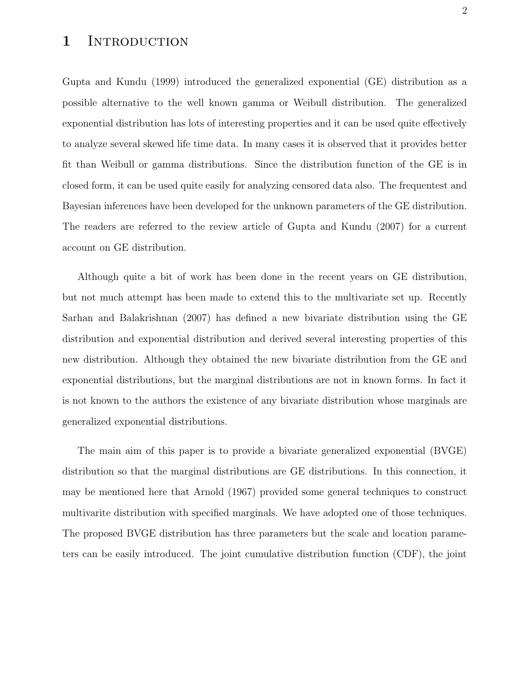#### 1 INTRODUCTION

Gupta and Kundu (1999) introduced the generalized exponential (GE) distribution as a possible alternative to the well known gamma or Weibull distribution. The generalized exponential distribution has lots of interesting properties and it can be used quite effectively to analyze several skewed life time data. In many cases it is observed that it provides better fit than Weibull or gamma distributions. Since the distribution function of the GE is in closed form, it can be used quite easily for analyzing censored data also. The frequentest and Bayesian inferences have been developed for the unknown parameters of the GE distribution. The readers are referred to the review article of Gupta and Kundu (2007) for a current account on GE distribution.

Although quite a bit of work has been done in the recent years on GE distribution, but not much attempt has been made to extend this to the multivariate set up. Recently Sarhan and Balakrishnan (2007) has defined a new bivariate distribution using the GE distribution and exponential distribution and derived several interesting properties of this new distribution. Although they obtained the new bivariate distribution from the GE and exponential distributions, but the marginal distributions are not in known forms. In fact it is not known to the authors the existence of any bivariate distribution whose marginals are generalized exponential distributions.

The main aim of this paper is to provide a bivariate generalized exponential (BVGE) distribution so that the marginal distributions are GE distributions. In this connection, it may be mentioned here that Arnold (1967) provided some general techniques to construct multivarite distribution with specified marginals. We have adopted one of those techniques. The proposed BVGE distribution has three parameters but the scale and location parameters can be easily introduced. The joint cumulative distribution function (CDF), the joint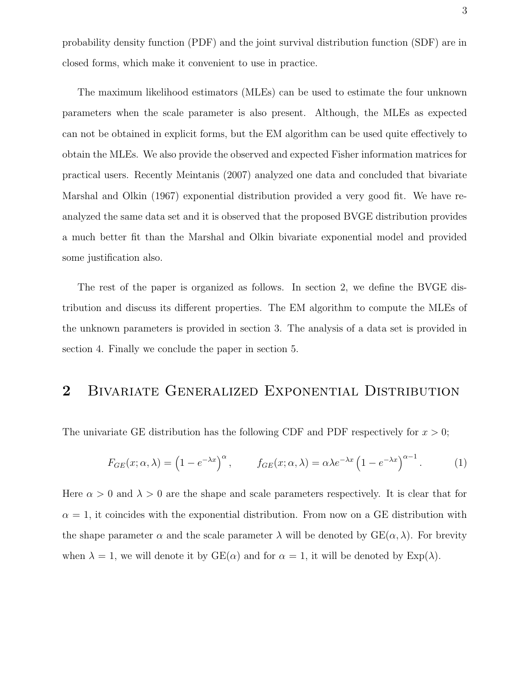probability density function (PDF) and the joint survival distribution function (SDF) are in closed forms, which make it convenient to use in practice.

The maximum likelihood estimators (MLEs) can be used to estimate the four unknown parameters when the scale parameter is also present. Although, the MLEs as expected can not be obtained in explicit forms, but the EM algorithm can be used quite effectively to obtain the MLEs. We also provide the observed and expected Fisher information matrices for practical users. Recently Meintanis (2007) analyzed one data and concluded that bivariate Marshal and Olkin (1967) exponential distribution provided a very good fit. We have reanalyzed the same data set and it is observed that the proposed BVGE distribution provides a much better fit than the Marshal and Olkin bivariate exponential model and provided some justification also.

The rest of the paper is organized as follows. In section 2, we define the BVGE distribution and discuss its different properties. The EM algorithm to compute the MLEs of the unknown parameters is provided in section 3. The analysis of a data set is provided in section 4. Finally we conclude the paper in section 5.

#### 2 BIVARIATE GENERALIZED EXPONENTIAL DISTRIBUTION

The univariate GE distribution has the following CDF and PDF respectively for  $x > 0$ ;

$$
F_{GE}(x; \alpha, \lambda) = \left(1 - e^{-\lambda x}\right)^{\alpha}, \qquad f_{GE}(x; \alpha, \lambda) = \alpha \lambda e^{-\lambda x} \left(1 - e^{-\lambda x}\right)^{\alpha - 1}.
$$
 (1)

Here  $\alpha > 0$  and  $\lambda > 0$  are the shape and scale parameters respectively. It is clear that for  $\alpha = 1$ , it coincides with the exponential distribution. From now on a GE distribution with the shape parameter  $\alpha$  and the scale parameter  $\lambda$  will be denoted by  $GE(\alpha, \lambda)$ . For brevity when  $\lambda = 1$ , we will denote it by  $GE(\alpha)$  and for  $\alpha = 1$ , it will be denoted by  $Exp(\lambda)$ .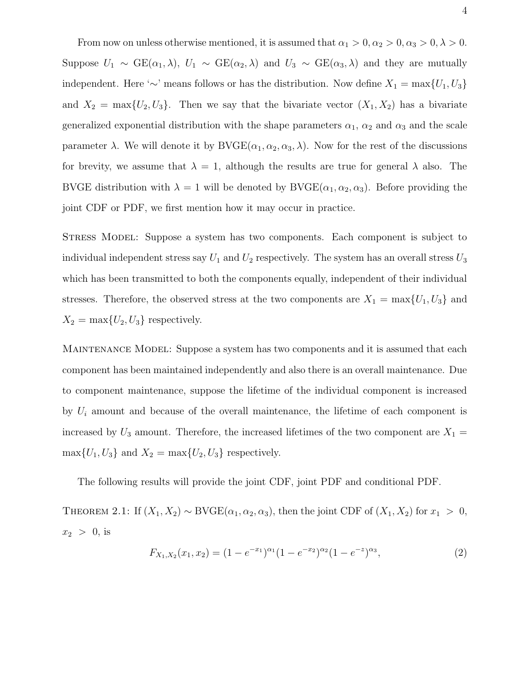From now on unless otherwise mentioned, it is assumed that  $\alpha_1 > 0, \alpha_2 > 0, \alpha_3 > 0, \lambda > 0$ . Suppose  $U_1 \sim \text{GE}(\alpha_1, \lambda)$ ,  $U_1 \sim \text{GE}(\alpha_2, \lambda)$  and  $U_3 \sim \text{GE}(\alpha_3, \lambda)$  and they are mutually independent. Here '∼' means follows or has the distribution. Now define  $X_1 = \max\{U_1, U_3\}$ and  $X_2 = \max\{U_2, U_3\}$ . Then we say that the bivariate vector  $(X_1, X_2)$  has a bivariate generalized exponential distribution with the shape parameters  $\alpha_1$ ,  $\alpha_2$  and  $\alpha_3$  and the scale parameter  $\lambda$ . We will denote it by  $\text{BVGE}(\alpha_1, \alpha_2, \alpha_3, \lambda)$ . Now for the rest of the discussions for brevity, we assume that  $\lambda = 1$ , although the results are true for general  $\lambda$  also. The BVGE distribution with  $\lambda = 1$  will be denoted by BVGE( $\alpha_1, \alpha_2, \alpha_3$ ). Before providing the joint CDF or PDF, we first mention how it may occur in practice.

Stress Model: Suppose a system has two components. Each component is subject to individual independent stress say  $U_1$  and  $U_2$  respectively. The system has an overall stress  $U_3$ which has been transmitted to both the components equally, independent of their individual stresses. Therefore, the observed stress at the two components are  $X_1 = \max\{U_1, U_3\}$  and  $X_2 = \max\{U_2, U_3\}$  respectively.

MAINTENANCE MODEL: Suppose a system has two components and it is assumed that each component has been maintained independently and also there is an overall maintenance. Due to component maintenance, suppose the lifetime of the individual component is increased by  $U_i$  amount and because of the overall maintenance, the lifetime of each component is increased by  $U_3$  amount. Therefore, the increased lifetimes of the two component are  $X_1 =$  $\max\{U_1, U_3\}$  and  $X_2 = \max\{U_2, U_3\}$  respectively.

The following results will provide the joint CDF, joint PDF and conditional PDF.

THEOREM 2.1: If  $(X_1, X_2) \sim \text{BVGE}(\alpha_1, \alpha_2, \alpha_3)$ , then the joint CDF of  $(X_1, X_2)$  for  $x_1 > 0$ ,  $x_2 > 0$ , is

$$
F_{X_1, X_2}(x_1, x_2) = (1 - e^{-x_1})^{\alpha_1} (1 - e^{-x_2})^{\alpha_2} (1 - e^{-z})^{\alpha_3}, \tag{2}
$$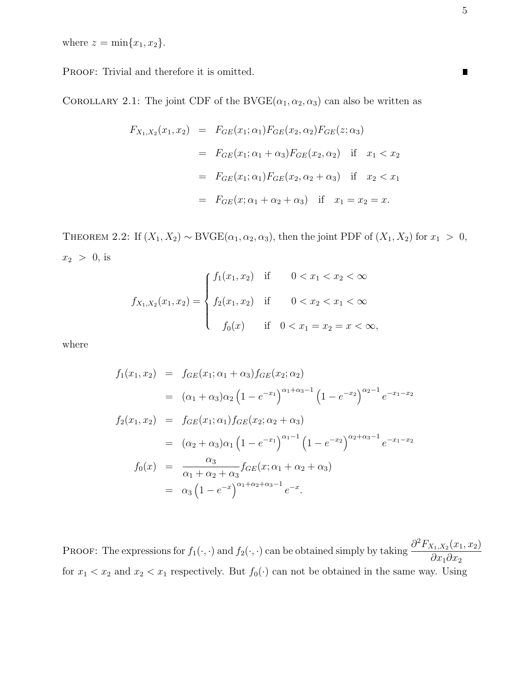where  $z = \min\{x_1, x_2\}.$ 

PROOF: Trivial and therefore it is omitted.

COROLLARY 2.1: The joint CDF of the BVGE( $\alpha_1, \alpha_2, \alpha_3$ ) can also be written as

$$
F_{X_1,X_2}(x_1, x_2) = F_{GE}(x_1; \alpha_1) F_{GE}(x_2, \alpha_2) F_{GE}(z; \alpha_3)
$$
  
=  $F_{GE}(x_1; \alpha_1 + \alpha_3) F_{GE}(x_2, \alpha_2)$  if  $x_1 < x_2$   
=  $F_{GE}(x_1; \alpha_1) F_{GE}(x_2, \alpha_2 + \alpha_3)$  if  $x_2 < x_1$   
=  $F_{GE}(x; \alpha_1 + \alpha_2 + \alpha_3)$  if  $x_1 = x_2 = x$ .

THEOREM 2.2: If  $(X_1, X_2) \sim \text{BVGE}(\alpha_1, \alpha_2, \alpha_3)$ , then the joint PDF of  $(X_1, X_2)$  for  $x_1 > 0$ ,  $x_2 > 0$ , is

$$
f_{X_1,X_2}(x_1,x_2) = \begin{cases} f_1(x_1,x_2) & \text{if } 0 < x_1 < x_2 < \infty \\ f_2(x_1,x_2) & \text{if } 0 < x_2 < x_1 < \infty \\ f_0(x) & \text{if } 0 < x_1 = x_2 = x < \infty, \end{cases}
$$

where

$$
f_1(x_1, x_2) = f_{GE}(x_1; \alpha_1 + \alpha_3) f_{GE}(x_2; \alpha_2)
$$
  
\n
$$
= (\alpha_1 + \alpha_3) \alpha_2 (1 - e^{-x_1})^{\alpha_1 + \alpha_3 - 1} (1 - e^{-x_2})^{\alpha_2 - 1} e^{-x_1 - x_2}
$$
  
\n
$$
f_2(x_1, x_2) = f_{GE}(x_1; \alpha_1) f_{GE}(x_2; \alpha_2 + \alpha_3)
$$
  
\n
$$
= (\alpha_2 + \alpha_3) \alpha_1 (1 - e^{-x_1})^{\alpha_1 - 1} (1 - e^{-x_2})^{\alpha_2 + \alpha_3 - 1} e^{-x_1 - x_2}
$$
  
\n
$$
f_0(x) = \frac{\alpha_3}{\alpha_1 + \alpha_2 + \alpha_3} f_{GE}(x; \alpha_1 + \alpha_2 + \alpha_3)
$$
  
\n
$$
= \alpha_3 (1 - e^{-x})^{\alpha_1 + \alpha_2 + \alpha_3 - 1} e^{-x}.
$$

PROOF: The expressions for  $f_1(\cdot, \cdot)$  and  $f_2(\cdot, \cdot)$  can be obtained simply by taking  $\frac{\partial^2 F_{X_1, X_2}(x_1, x_2)}{\partial x_1 \partial x_2}$  $\partial x_1 \partial x_2$ for  $x_1 < x_2$  and  $x_2 < x_1$  respectively. But  $f_0(\cdot)$  can not be obtained in the same way. Using

 $\blacksquare$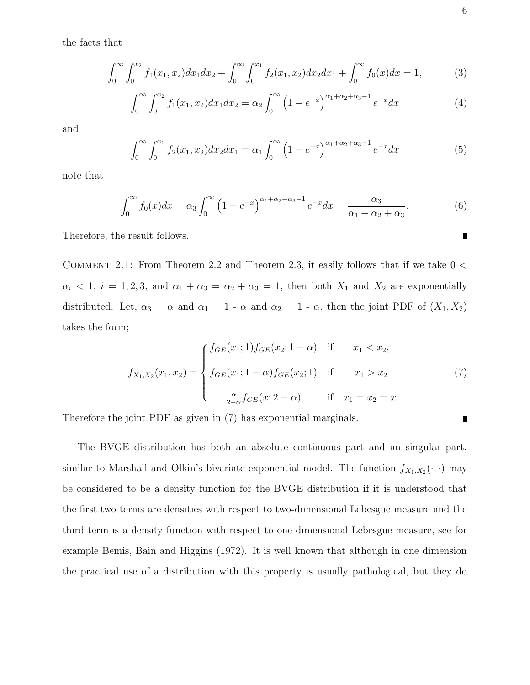the facts that

$$
\int_0^\infty \int_0^{x_2} f_1(x_1, x_2) dx_1 dx_2 + \int_0^\infty \int_0^{x_1} f_2(x_1, x_2) dx_2 dx_1 + \int_0^\infty f_0(x) dx = 1,
$$
 (3)

$$
\int_0^\infty \int_0^{x_2} f_1(x_1, x_2) dx_1 dx_2 = \alpha_2 \int_0^\infty \left(1 - e^{-x}\right)^{\alpha_1 + \alpha_2 + \alpha_3 - 1} e^{-x} dx \tag{4}
$$

and

$$
\int_0^\infty \int_0^{x_1} f_2(x_1, x_2) dx_2 dx_1 = \alpha_1 \int_0^\infty \left(1 - e^{-x}\right)^{\alpha_1 + \alpha_2 + \alpha_3 - 1} e^{-x} dx \tag{5}
$$

note that

$$
\int_0^\infty f_0(x)dx = \alpha_3 \int_0^\infty \left(1 - e^{-x}\right)^{\alpha_1 + \alpha_2 + \alpha_3 - 1} e^{-x} dx = \frac{\alpha_3}{\alpha_1 + \alpha_2 + \alpha_3}.\tag{6}
$$

Therefore, the result follows.

COMMENT 2.1: From Theorem 2.2 and Theorem 2.3, it easily follows that if we take  $0 <$  $\alpha_i$  < 1,  $i = 1, 2, 3$ , and  $\alpha_1 + \alpha_3 = \alpha_2 + \alpha_3 = 1$ , then both  $X_1$  and  $X_2$  are exponentially distributed. Let,  $\alpha_3 = \alpha$  and  $\alpha_1 = 1 - \alpha$  and  $\alpha_2 = 1 - \alpha$ , then the joint PDF of  $(X_1, X_2)$ takes the form;

$$
f_{X_1,X_2}(x_1,x_2) = \begin{cases} f_{GE}(x_1;1) f_{GE}(x_2;1-\alpha) & \text{if } x_1 < x_2, \\ f_{GE}(x_1;1-\alpha) f_{GE}(x_2;1) & \text{if } x_1 > x_2 \\ \frac{\alpha}{2-\alpha} f_{GE}(x;2-\alpha) & \text{if } x_1 = x_2 = x. \end{cases}
$$
(7)

Therefore the joint PDF as given in (7) has exponential marginals.

The BVGE distribution has both an absolute continuous part and an singular part, similar to Marshall and Olkin's bivariate exponential model. The function  $f_{X_1,X_2}(\cdot,\cdot)$  may be considered to be a density function for the BVGE distribution if it is understood that the first two terms are densities with respect to two-dimensional Lebesgue measure and the third term is a density function with respect to one dimensional Lebesgue measure, see for example Bemis, Bain and Higgins (1972). It is well known that although in one dimension the practical use of a distribution with this property is usually pathological, but they do

Г

 $\blacksquare$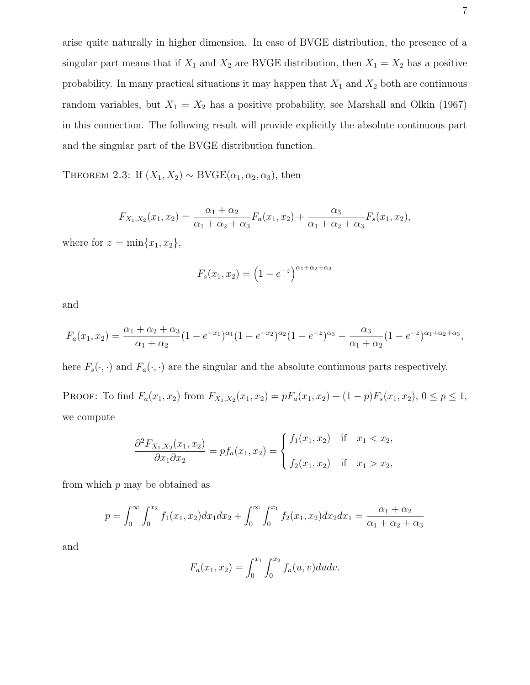arise quite naturally in higher dimension. In case of BVGE distribution, the presence of a singular part means that if  $X_1$  and  $X_2$  are BVGE distribution, then  $X_1 = X_2$  has a positive probability. In many practical situations it may happen that  $X_1$  and  $X_2$  both are continuous random variables, but  $X_1 = X_2$  has a positive probability, see Marshall and Olkin (1967) in this connection. The following result will provide explicitly the absolute continuous part and the singular part of the BVGE distribution function.

THEOREM 2.3: If  $(X_1, X_2) \sim \text{BVGE}(\alpha_1, \alpha_2, \alpha_3)$ , then

$$
F_{X_1,X_2}(x_1,x_2) = \frac{\alpha_1 + \alpha_2}{\alpha_1 + \alpha_2 + \alpha_3} F_a(x_1,x_2) + \frac{\alpha_3}{\alpha_1 + \alpha_2 + \alpha_3} F_s(x_1,x_2),
$$

where for  $z = \min\{x_1, x_2\},\$ 

$$
F_s(x_1, x_2) = (1 - e^{-z})^{\alpha_1 + \alpha_2 + \alpha_3}
$$

and

$$
F_a(x_1, x_2) = \frac{\alpha_1 + \alpha_2 + \alpha_3}{\alpha_1 + \alpha_2} (1 - e^{-x_1})^{\alpha_1} (1 - e^{-x_2})^{\alpha_2} (1 - e^{-z})^{\alpha_3} - \frac{\alpha_3}{\alpha_1 + \alpha_2} (1 - e^{-z})^{\alpha_1 + \alpha_2 + \alpha_3},
$$

here  $F_s(\cdot, \cdot)$  and  $F_a(\cdot, \cdot)$  are the singular and the absolute continuous parts respectively.

PROOF: To find  $F_a(x_1, x_2)$  from  $F_{X_1, X_2}(x_1, x_2) = pF_a(x_1, x_2) + (1 - p)F_s(x_1, x_2), 0 \le p \le 1$ , we compute

$$
\frac{\partial^2 F_{X_1, X_2}(x_1, x_2)}{\partial x_1 \partial x_2} = pf_a(x_1, x_2) = \begin{cases} f_1(x_1, x_2) & \text{if } x_1 < x_2, \\ f_2(x_1, x_2) & \text{if } x_1 > x_2, \end{cases}
$$

from which  $p$  may be obtained as

$$
p = \int_0^\infty \int_0^{x_2} f_1(x_1, x_2) dx_1 dx_2 + \int_0^\infty \int_0^{x_1} f_2(x_1, x_2) dx_2 dx_1 = \frac{\alpha_1 + \alpha_2}{\alpha_1 + \alpha_2 + \alpha_3}
$$

and

$$
F_a(x_1, x_2) = \int_0^{x_1} \int_0^{x_2} f_a(u, v) du dv.
$$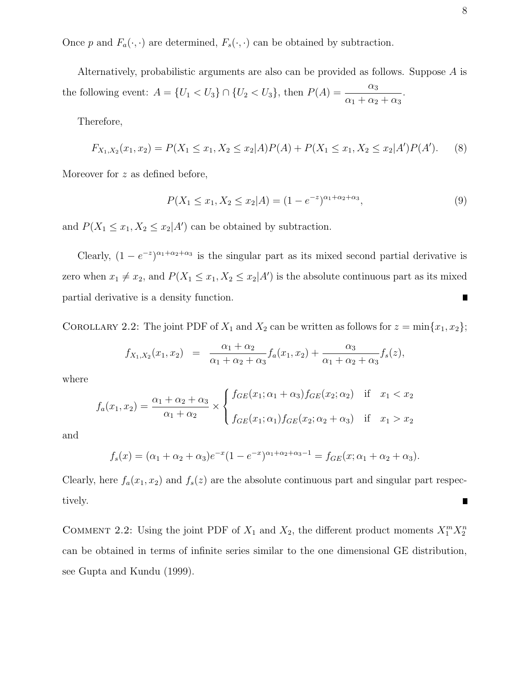Once p and  $F_a(\cdot, \cdot)$  are determined,  $F_s(\cdot, \cdot)$  can be obtained by subtraction.

Alternatively, probabilistic arguments are also can be provided as follows. Suppose A is the following event:  $A = \{U_1 < U_3\} \cap \{U_2 < U_3\}$ , then  $P(A) =$  $\alpha_3$  $\alpha_1 + \alpha_2 + \alpha_3$ .

Therefore,

$$
F_{X_1,X_2}(x_1,x_2) = P(X_1 \le x_1, X_2 \le x_2 | A)P(A) + P(X_1 \le x_1, X_2 \le x_2 | A')P(A').
$$
 (8)

Moreover for z as defined before,

$$
P(X_1 \le x_1, X_2 \le x_2 | A) = (1 - e^{-z})^{\alpha_1 + \alpha_2 + \alpha_3},\tag{9}
$$

and  $P(X_1 \leq x_1, X_2 \leq x_2 | A')$  can be obtained by subtraction.

Clearly,  $(1 - e^{-z})^{\alpha_1 + \alpha_2 + \alpha_3}$  is the singular part as its mixed second partial derivative is zero when  $x_1 \neq x_2$ , and  $P(X_1 \leq x_1, X_2 \leq x_2|A')$  is the absolute continuous part as its mixed partial derivative is a density function. П

COROLLARY 2.2: The joint PDF of  $X_1$  and  $X_2$  can be written as follows for  $z = \min\{x_1, x_2\}$ ;

$$
f_{X_1,X_2}(x_1,x_2) = \frac{\alpha_1 + \alpha_2}{\alpha_1 + \alpha_2 + \alpha_3} f_a(x_1,x_2) + \frac{\alpha_3}{\alpha_1 + \alpha_2 + \alpha_3} f_s(z),
$$

where

$$
f_a(x_1, x_2) = \frac{\alpha_1 + \alpha_2 + \alpha_3}{\alpha_1 + \alpha_2} \times \begin{cases} f_{GE}(x_1; \alpha_1 + \alpha_3) f_{GE}(x_2; \alpha_2) & \text{if } x_1 < x_2 \\ f_{GE}(x_1; \alpha_1) f_{GE}(x_2; \alpha_2 + \alpha_3) & \text{if } x_1 > x_2 \end{cases}
$$

and

$$
f_s(x) = (\alpha_1 + \alpha_2 + \alpha_3)e^{-x}(1 - e^{-x})^{\alpha_1 + \alpha_2 + \alpha_3 - 1} = f_{GE}(x; \alpha_1 + \alpha_2 + \alpha_3).
$$

Clearly, here  $f_a(x_1, x_2)$  and  $f_s(z)$  are the absolute continuous part and singular part respectively.  $\blacksquare$ 

COMMENT 2.2: Using the joint PDF of  $X_1$  and  $X_2$ , the different product moments  $X_1^m X_2^n$ can be obtained in terms of infinite series similar to the one dimensional GE distribution, see Gupta and Kundu (1999).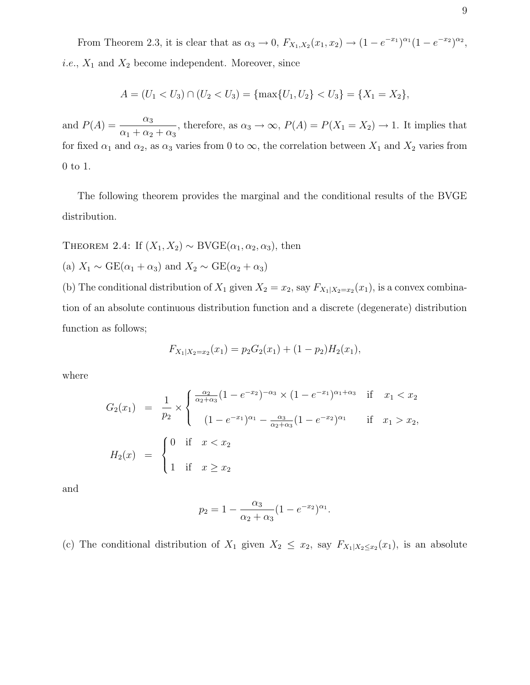From Theorem 2.3, it is clear that as  $\alpha_3 \to 0$ ,  $F_{X_1,X_2}(x_1,x_2) \to (1 - e^{-x_1})^{\alpha_1}(1 - e^{-x_2})^{\alpha_2}$ , *i.e.*,  $X_1$  and  $X_2$  become independent. Moreover, since

$$
A = (U_1 < U_3) \cap (U_2 < U_3) = \{\max\{U_1, U_2\} < U_3\} = \{X_1 = X_2\},
$$

and  $P(A) = \frac{\alpha_3}{\alpha_3}$  $\alpha_1 + \alpha_2 + \alpha_3$ , therefore, as  $\alpha_3 \to \infty$ ,  $P(A) = P(X_1 = X_2) \to 1$ . It implies that for fixed  $\alpha_1$  and  $\alpha_2$ , as  $\alpha_3$  varies from 0 to  $\infty$ , the correlation between  $X_1$  and  $X_2$  varies from 0 to 1.

The following theorem provides the marginal and the conditional results of the BVGE distribution.

THEOREM 2.4: If  $(X_1, X_2) \sim \text{BVGE}(\alpha_1, \alpha_2, \alpha_3)$ , then

(a) 
$$
X_1 \sim \text{GE}(\alpha_1 + \alpha_3)
$$
 and  $X_2 \sim \text{GE}(\alpha_2 + \alpha_3)$ 

(b) The conditional distribution of  $X_1$  given  $X_2 = x_2$ , say  $F_{X_1|X_2=x_2}(x_1)$ , is a convex combination of an absolute continuous distribution function and a discrete (degenerate) distribution function as follows;

$$
F_{X_1|X_2=x_2}(x_1) = p_2 G_2(x_1) + (1 - p_2) H_2(x_1),
$$

where

$$
G_2(x_1) = \frac{1}{p_2} \times \begin{cases} \frac{\alpha_2}{\alpha_2 + \alpha_3} (1 - e^{-x_2})^{-\alpha_3} \times (1 - e^{-x_1})^{\alpha_1 + \alpha_3} & \text{if } x_1 < x_2 \\ (1 - e^{-x_1})^{\alpha_1} - \frac{\alpha_3}{\alpha_2 + \alpha_3} (1 - e^{-x_2})^{\alpha_1} & \text{if } x_1 > x_2, \end{cases}
$$
  

$$
H_2(x) = \begin{cases} 0 & \text{if } x < x_2 \\ 1 & \text{if } x \ge x_2 \end{cases}
$$

and

$$
p_2 = 1 - \frac{\alpha_3}{\alpha_2 + \alpha_3} (1 - e^{-x_2})^{\alpha_1}.
$$

(c) The conditional distribution of  $X_1$  given  $X_2 \leq x_2$ , say  $F_{X_1|X_2 \leq x_2}(x_1)$ , is an absolute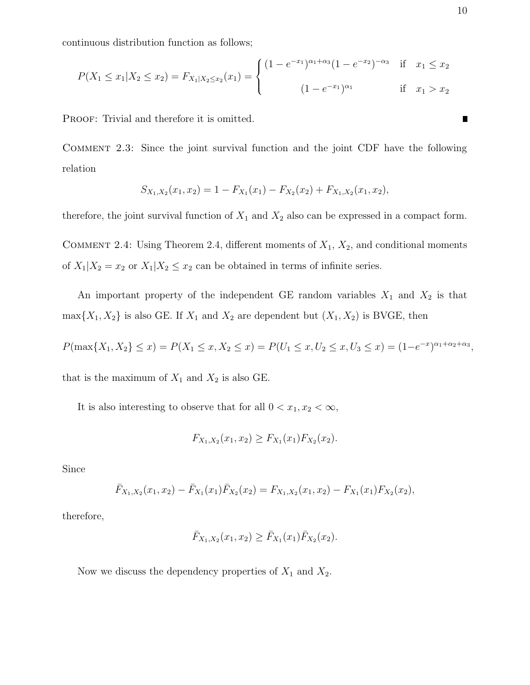continuous distribution function as follows;

$$
P(X_1 \le x_1 | X_2 \le x_2) = F_{X_1 | X_2 \le x_2}(x_1) = \begin{cases} (1 - e^{-x_1})^{\alpha_1 + \alpha_3} (1 - e^{-x_2})^{-\alpha_3} & \text{if } x_1 \le x_2 \\ (1 - e^{-x_1})^{\alpha_1} & \text{if } x_1 > x_2 \end{cases}
$$

PROOF: Trivial and therefore it is omitted.

Comment 2.3: Since the joint survival function and the joint CDF have the following relation

$$
S_{X_1,X_2}(x_1,x_2) = 1 - F_{X_1}(x_1) - F_{X_2}(x_2) + F_{X_1,X_2}(x_1,x_2),
$$

therefore, the joint survival function of  $X_1$  and  $X_2$  also can be expressed in a compact form.

COMMENT 2.4: Using Theorem 2.4, different moments of  $X_1$ ,  $X_2$ , and conditional moments of  $X_1|X_2 = x_2$  or  $X_1|X_2 \leq x_2$  can be obtained in terms of infinite series.

An important property of the independent GE random variables  $X_1$  and  $X_2$  is that  $\max\{X_1, X_2\}$  is also GE. If  $X_1$  and  $X_2$  are dependent but  $(X_1, X_2)$  is BVGE, then

$$
P(\max\{X_1, X_2\} \le x) = P(X_1 \le x, X_2 \le x) = P(U_1 \le x, U_2 \le x, U_3 \le x) = (1 - e^{-x})^{\alpha_1 + \alpha_2 + \alpha_3},
$$
  
that is the maximum of  $X_1$  and  $X_2$  is also GE.

It is also interesting to observe that for all  $0 < x_1, x_2 < \infty$ ,

$$
F_{X_1,X_2}(x_1,x_2) \ge F_{X_1}(x_1)F_{X_2}(x_2).
$$

Since

$$
\bar{F}_{X_1,X_2}(x_1,x_2) - \bar{F}_{X_1}(x_1)\bar{F}_{X_2}(x_2) = F_{X_1,X_2}(x_1,x_2) - F_{X_1}(x_1)F_{X_2}(x_2),
$$

therefore,

$$
\bar{F}_{X_1,X_2}(x_1,x_2) \ge \bar{F}_{X_1}(x_1) \bar{F}_{X_2}(x_2).
$$

Now we discuss the dependency properties of  $X_1$  and  $X_2$ .

 $\blacksquare$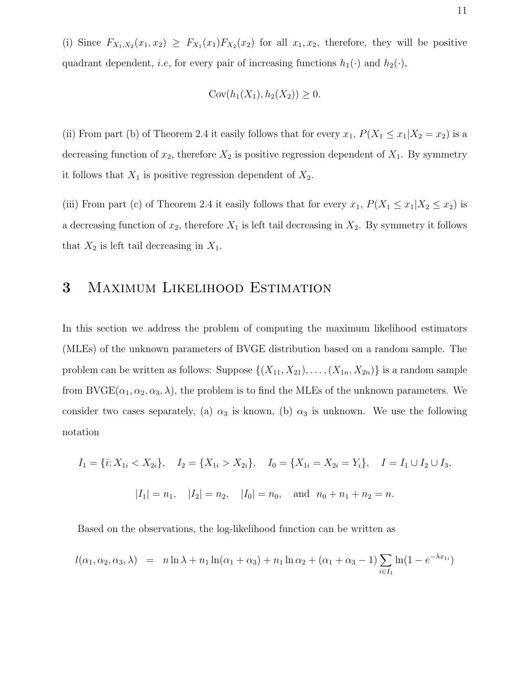(i) Since  $F_{X_1,X_2}(x_1,x_2) \geq F_{X_1}(x_1)F_{X_2}(x_2)$  for all  $x_1,x_2$ , therefore, they will be positive quadrant dependent, *i.e.*, for every pair of increasing functions  $h_1(\cdot)$  and  $h_2(\cdot)$ ,

$$
Cov(h_1(X_1), h_2(X_2)) \ge 0.
$$

(ii) From part (b) of Theorem 2.4 it easily follows that for every  $x_1$ ,  $P(X_1 \le x_1 | X_2 = x_2)$  is a decreasing function of  $x_2$ , therefore  $X_2$  is positive regression dependent of  $X_1$ . By symmetry it follows that  $X_1$  is positive regression dependent of  $X_2$ .

(iii) From part (c) of Theorem 2.4 it easily follows that for every  $x_1$ ,  $P(X_1 \le x_1 | X_2 \le x_2)$  is a decreasing function of  $x_2$ , therefore  $X_1$  is left tail decreasing in  $X_2$ . By symmetry it follows that  $X_2$  is left tail decreasing in  $X_1$ .

### 3 Maximum Likelihood Estimation

In this section we address the problem of computing the maximum likelihood estimators (MLEs) of the unknown parameters of BVGE distribution based on a random sample. The problem can be written as follows: Suppose  $\{(X_{11}, X_{21}), \ldots, (X_{1n}, X_{2n})\}$  is a random sample from BVGE( $\alpha_1, \alpha_2, \alpha_3, \lambda$ ), the problem is to find the MLEs of the unknown parameters. We consider two cases separately, (a)  $\alpha_3$  is known, (b)  $\alpha_3$  is unknown. We use the following notation

$$
I_1 = \{i; X_{1i} < X_{2i}\}, \quad I_2 = \{X_{1i} > X_{2i}\}, \quad I_0 = \{X_{1i} = X_{2i} = Y_i\}, \quad I = I_1 \cup I_2 \cup I_3,
$$
\n
$$
|I_1| = n_1, \quad |I_2| = n_2, \quad |I_0| = n_0, \quad \text{and} \quad n_0 + n_1 + n_2 = n.
$$

Based on the observations, the log-likelihood function can be written as

$$
l(\alpha_1, \alpha_2, \alpha_3, \lambda) = n \ln \lambda + n_1 \ln(\alpha_1 + \alpha_3) + n_1 \ln \alpha_2 + (\alpha_1 + \alpha_3 - 1) \sum_{i \in I_1} \ln(1 - e^{-\lambda x_{1i}})
$$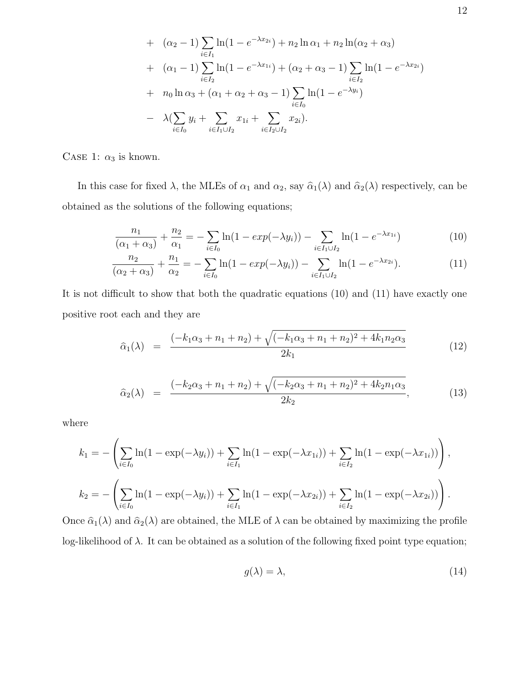+ 
$$
(\alpha_2 - 1) \sum_{i \in I_1} \ln(1 - e^{-\lambda x_{2i}}) + n_2 \ln \alpha_1 + n_2 \ln(\alpha_2 + \alpha_3)
$$
  
+  $(\alpha_1 - 1) \sum_{i \in I_2} \ln(1 - e^{-\lambda x_{1i}}) + (\alpha_2 + \alpha_3 - 1) \sum_{i \in I_2} \ln(1 - e^{-\lambda x_{2i}})$   
+  $n_0 \ln \alpha_3 + (\alpha_1 + \alpha_2 + \alpha_3 - 1) \sum_{i \in I_0} \ln(1 - e^{-\lambda y_i})$   
-  $\lambda (\sum_{i \in I_0} y_i + \sum_{i \in I_1 \cup I_2} x_{1i} + \sum_{i \in I_2 \cup I_2} x_{2i}).$ 

CASE 1:  $\alpha_3$  is known.

In this case for fixed  $\lambda$ , the MLEs of  $\alpha_1$  and  $\alpha_2$ , say  $\hat{\alpha}_1(\lambda)$  and  $\hat{\alpha}_2(\lambda)$  respectively, can be obtained as the solutions of the following equations;

$$
\frac{n_1}{(\alpha_1 + \alpha_3)} + \frac{n_2}{\alpha_1} = -\sum_{i \in I_0} \ln(1 - exp(-\lambda y_i)) - \sum_{i \in I_1 \cup I_2} \ln(1 - e^{-\lambda x_{1i}})
$$
(10)

$$
\frac{n_2}{(\alpha_2 + \alpha_3)} + \frac{n_1}{\alpha_2} = -\sum_{i \in I_0} \ln(1 - exp(-\lambda y_i)) - \sum_{i \in I_1 \cup I_2} \ln(1 - e^{-\lambda x_{2i}}). \tag{11}
$$

It is not difficult to show that both the quadratic equations (10) and (11) have exactly one positive root each and they are

$$
\hat{\alpha}_1(\lambda) = \frac{(-k_1\alpha_3 + n_1 + n_2) + \sqrt{(-k_1\alpha_3 + n_1 + n_2)^2 + 4k_1n_2\alpha_3}}{2k_1} \tag{12}
$$

$$
\hat{\alpha}_2(\lambda) = \frac{(-k_2\alpha_3 + n_1 + n_2) + \sqrt{(-k_2\alpha_3 + n_1 + n_2)^2 + 4k_2n_1\alpha_3}}{2k_2},
$$
\n(13)

where

$$
k_1 = -\left(\sum_{i \in I_0} \ln(1 - \exp(-\lambda y_i)) + \sum_{i \in I_1} \ln(1 - \exp(-\lambda x_{1i})) + \sum_{i \in I_2} \ln(1 - \exp(-\lambda x_{1i}))\right),
$$
  

$$
k_2 = -\left(\sum_{i \in I_0} \ln(1 - \exp(-\lambda y_i)) + \sum_{i \in I_1} \ln(1 - \exp(-\lambda x_{2i})) + \sum_{i \in I_2} \ln(1 - \exp(-\lambda x_{2i}))\right).
$$

Once  $\hat{\alpha}_1(\lambda)$  and  $\hat{\alpha}_2(\lambda)$  are obtained, the MLE of  $\lambda$  can be obtained by maximizing the profile log-likelihood of  $\lambda$ . It can be obtained as a solution of the following fixed point type equation;

$$
g(\lambda) = \lambda,\tag{14}
$$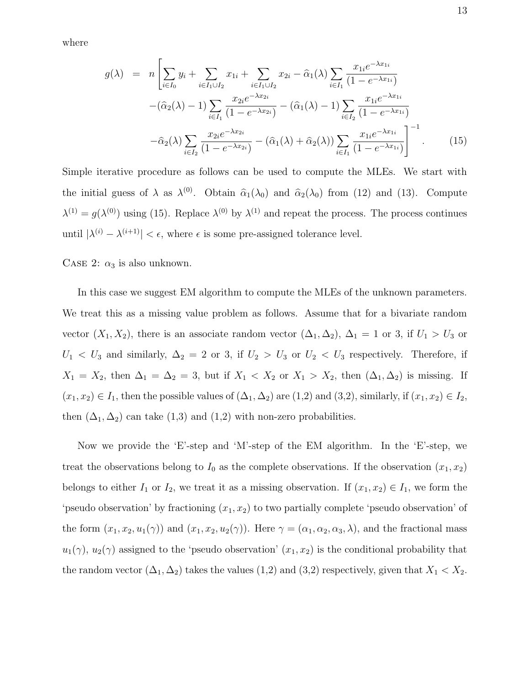where

$$
g(\lambda) = n \left[ \sum_{i \in I_0} y_i + \sum_{i \in I_1 \cup I_2} x_{1i} + \sum_{i \in I_1 \cup I_2} x_{2i} - \hat{\alpha}_1(\lambda) \sum_{i \in I_1} \frac{x_{1i} e^{-\lambda x_{1i}}}{(1 - e^{-\lambda x_{1i}})} - (\hat{\alpha}_2(\lambda) - 1) \sum_{i \in I_1} \frac{x_{2i} e^{-\lambda x_{2i}}}{(1 - e^{-\lambda x_{2i}})} - (\hat{\alpha}_1(\lambda) - 1) \sum_{i \in I_2} \frac{x_{1i} e^{-\lambda x_{1i}}}{(1 - e^{-\lambda x_{1i}})} - \hat{\alpha}_2(\lambda) \sum_{i \in I_2} \frac{x_{2i} e^{-\lambda x_{2i}}}{(1 - e^{-\lambda x_{2i}})} - (\hat{\alpha}_1(\lambda) + \hat{\alpha}_2(\lambda)) \sum_{i \in I_1} \frac{x_{1i} e^{-\lambda x_{1i}}}{(1 - e^{-\lambda x_{1i}})} \right]^{-1}.
$$
 (15)

Simple iterative procedure as follows can be used to compute the MLEs. We start with the initial guess of  $\lambda$  as  $\lambda^{(0)}$ . Obtain  $\hat{\alpha}_1(\lambda_0)$  and  $\hat{\alpha}_2(\lambda_0)$  from (12) and (13). Compute  $\lambda^{(1)} = g(\lambda^{(0)})$  using (15). Replace  $\lambda^{(0)}$  by  $\lambda^{(1)}$  and repeat the process. The process continues until  $|\lambda^{(i)} - \lambda^{(i+1)}| < \epsilon$ , where  $\epsilon$  is some pre-assigned tolerance level.

#### CASE 2:  $\alpha_3$  is also unknown.

In this case we suggest EM algorithm to compute the MLEs of the unknown parameters. We treat this as a missing value problem as follows. Assume that for a bivariate random vector  $(X_1, X_2)$ , there is an associate random vector  $(\Delta_1, \Delta_2)$ ,  $\Delta_1 = 1$  or 3, if  $U_1 > U_3$  or  $U_1 < U_3$  and similarly,  $\Delta_2 = 2$  or 3, if  $U_2 > U_3$  or  $U_2 < U_3$  respectively. Therefore, if  $X_1 = X_2$ , then  $\Delta_1 = \Delta_2 = 3$ , but if  $X_1 < X_2$  or  $X_1 > X_2$ , then  $(\Delta_1, \Delta_2)$  is missing. If  $(x_1, x_2) \in I_1$ , then the possible values of  $(\Delta_1, \Delta_2)$  are  $(1,2)$  and  $(3,2)$ , similarly, if  $(x_1, x_2) \in I_2$ , then  $(\Delta_1, \Delta_2)$  can take  $(1,3)$  and  $(1,2)$  with non-zero probabilities.

Now we provide the 'E'-step and 'M'-step of the EM algorithm. In the 'E'-step, we treat the observations belong to  $I_0$  as the complete observations. If the observation  $(x_1, x_2)$ belongs to either  $I_1$  or  $I_2$ , we treat it as a missing observation. If  $(x_1, x_2) \in I_1$ , we form the 'pseudo observation' by fractioning  $(x_1, x_2)$  to two partially complete 'pseudo observation' of the form  $(x_1, x_2, u_1(\gamma))$  and  $(x_1, x_2, u_2(\gamma))$ . Here  $\gamma = (\alpha_1, \alpha_2, \alpha_3, \lambda)$ , and the fractional mass  $u_1(\gamma)$ ,  $u_2(\gamma)$  assigned to the 'pseudo observation'  $(x_1, x_2)$  is the conditional probability that the random vector  $(\Delta_1, \Delta_2)$  takes the values  $(1,2)$  and  $(3,2)$  respectively, given that  $X_1 < X_2$ .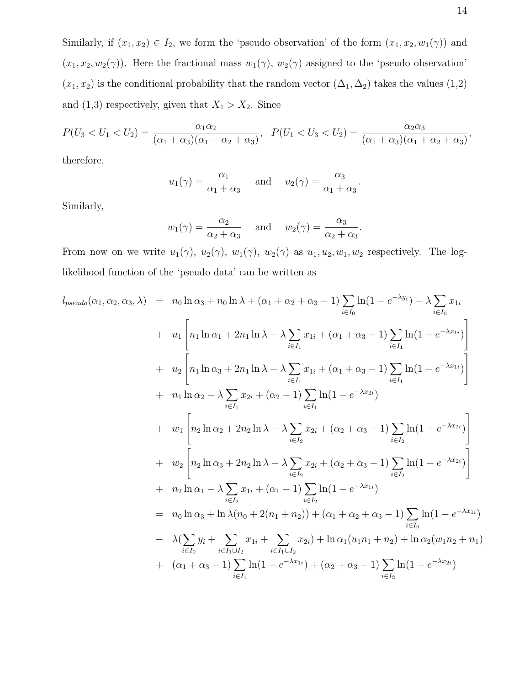Similarly, if  $(x_1, x_2) \in I_2$ , we form the 'pseudo observation' of the form  $(x_1, x_2, w_1(\gamma))$  and  $(x_1, x_2, w_2(\gamma))$ . Here the fractional mass  $w_1(\gamma)$ ,  $w_2(\gamma)$  assigned to the 'pseudo observation'  $(x_1, x_2)$  is the conditional probability that the random vector  $(\Delta_1, \Delta_2)$  takes the values  $(1,2)$ and (1,3) respectively, given that  $X_1 > X_2$ . Since

$$
P(U_3 < U_1 < U_2) = \frac{\alpha_1 \alpha_2}{(\alpha_1 + \alpha_3)(\alpha_1 + \alpha_2 + \alpha_3)}, \quad P(U_1 < U_3 < U_2) = \frac{\alpha_2 \alpha_3}{(\alpha_1 + \alpha_3)(\alpha_1 + \alpha_2 + \alpha_3)},
$$

therefore,

$$
u_1(\gamma) = \frac{\alpha_1}{\alpha_1 + \alpha_3}
$$
 and  $u_2(\gamma) = \frac{\alpha_3}{\alpha_1 + \alpha_3}$ 

.

.

Similarly,

$$
w_1(\gamma) = \frac{\alpha_2}{\alpha_2 + \alpha_3}
$$
 and  $w_2(\gamma) = \frac{\alpha_3}{\alpha_2 + \alpha_3}$ 

From now on we write  $u_1(\gamma)$ ,  $u_2(\gamma)$ ,  $w_1(\gamma)$ ,  $w_2(\gamma)$  as  $u_1, u_2, w_1, w_2$  respectively. The loglikelihood function of the 'pseudo data' can be written as

$$
l_{pseudo}(\alpha_{1}, \alpha_{2}, \alpha_{3}, \lambda) = n_{0} \ln \alpha_{3} + n_{0} \ln \lambda + (\alpha_{1} + \alpha_{2} + \alpha_{3} - 1) \sum_{i \in I_{0}} \ln(1 - e^{-\lambda y_{i}}) - \lambda \sum_{i \in I_{0}} x_{1i}
$$
  
+  $u_{1} \left[ n_{1} \ln \alpha_{1} + 2n_{1} \ln \lambda - \lambda \sum_{i \in I_{1}} x_{1i} + (\alpha_{1} + \alpha_{3} - 1) \sum_{i \in I_{1}} \ln(1 - e^{-\lambda x_{1i}}) \right]$   
+  $u_{2} \left[ n_{1} \ln \alpha_{3} + 2n_{1} \ln \lambda - \lambda \sum_{i \in I_{1}} x_{1i} + (\alpha_{1} + \alpha_{3} - 1) \sum_{i \in I_{1}} \ln(1 - e^{-\lambda x_{1i}}) \right]$   
+  $n_{1} \ln \alpha_{2} - \lambda \sum_{i \in I_{1}} x_{2i} + (\alpha_{2} - 1) \sum_{i \in I_{1}} \ln(1 - e^{-\lambda x_{2i}})$   
+  $w_{1} \left[ n_{2} \ln \alpha_{2} + 2n_{2} \ln \lambda - \lambda \sum_{i \in I_{2}} x_{2i} + (\alpha_{2} + \alpha_{3} - 1) \sum_{i \in I_{2}} \ln(1 - e^{-\lambda x_{2i}}) \right]$   
+  $w_{2} \left[ n_{2} \ln \alpha_{3} + 2n_{2} \ln \lambda - \lambda \sum_{i \in I_{2}} x_{2i} + (\alpha_{2} + \alpha_{3} - 1) \sum_{i \in I_{2}} \ln(1 - e^{-\lambda x_{2i}}) \right]$   
+  $n_{2} \ln \alpha_{1} - \lambda \sum_{i \in I_{2}} x_{1i} + (\alpha_{1} - 1) \sum_{i \in I_{2}} \ln(1 - e^{-\lambda x_{1i}})$   
=  $n_{0} \ln \alpha_{3} + \ln \lambda (n_{0} + 2(n_{1} + n_{2})) + (\alpha_{1} + \alpha_{2} + \alpha_{3} - 1) \sum_{i \in I_{0}} \ln(1 - e^{-\lambda x_{1i}})$   
-  $\lambda (\sum_{i \in I_{0}} y_{i} + \sum_{i \in I_{1} \cup I$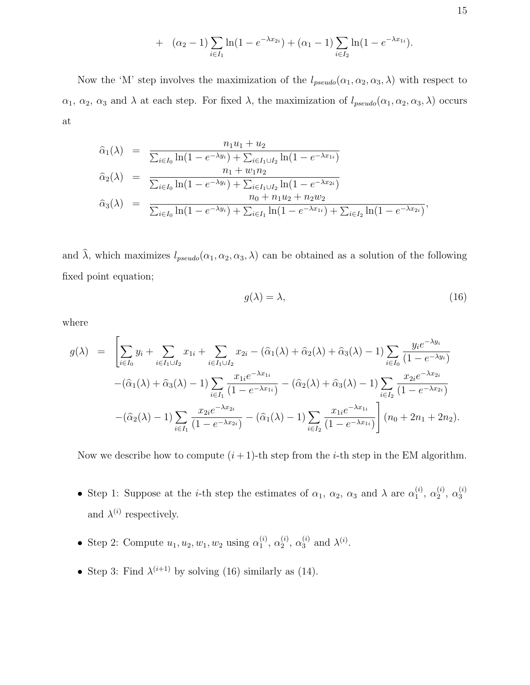+ 
$$
(\alpha_2 - 1) \sum_{i \in I_1} \ln(1 - e^{-\lambda x_{2i}}) + (\alpha_1 - 1) \sum_{i \in I_2} \ln(1 - e^{-\lambda x_{1i}}).
$$

Now the 'M' step involves the maximization of the  $l_{pseudo}(\alpha_1, \alpha_2, \alpha_3, \lambda)$  with respect to  $\alpha_1, \alpha_2, \alpha_3$  and  $\lambda$  at each step. For fixed  $\lambda$ , the maximization of  $l_{pseudo}(\alpha_1, \alpha_2, \alpha_3, \lambda)$  occurs at

$$
\hat{\alpha}_{1}(\lambda) = \frac{n_{1}u_{1} + u_{2}}{\sum_{i \in I_{0}} \ln(1 - e^{-\lambda y_{i}}) + \sum_{i \in I_{1} \cup I_{2}} \ln(1 - e^{-\lambda x_{1i}})} \n\hat{\alpha}_{2}(\lambda) = \frac{n_{1} + w_{1}n_{2}}{\sum_{i \in I_{0}} \ln(1 - e^{-\lambda y_{i}}) + \sum_{i \in I_{1} \cup I_{2}} \ln(1 - e^{-\lambda x_{2i}})} \n\hat{\alpha}_{3}(\lambda) = \frac{n_{0} + n_{1}u_{2} + n_{2}w_{2}}{\sum_{i \in I_{0}} \ln(1 - e^{-\lambda y_{i}}) + \sum_{i \in I_{1}} \ln(1 - e^{-\lambda x_{1i}}) + \sum_{i \in I_{2}} \ln(1 - e^{-\lambda x_{2i}})},
$$

and  $\hat{\lambda}$ , which maximizes  $l_{pseudo}(\alpha_1, \alpha_2, \alpha_3, \lambda)$  can be obtained as a solution of the following fixed point equation;

$$
g(\lambda) = \lambda,\tag{16}
$$

where

$$
g(\lambda) = \left[ \sum_{i \in I_0} y_i + \sum_{i \in I_1 \cup I_2} x_{1i} + \sum_{i \in I_1 \cup I_2} x_{2i} - (\hat{\alpha}_1(\lambda) + \hat{\alpha}_2(\lambda) + \hat{\alpha}_3(\lambda) - 1) \sum_{i \in I_0} \frac{y_i e^{-\lambda y_i}}{(1 - e^{-\lambda y_i})} - (\hat{\alpha}_1(\lambda) + \hat{\alpha}_3(\lambda) - 1) \sum_{i \in I_1} \frac{x_{1i} e^{-\lambda x_{1i}}}{(1 - e^{-\lambda x_{1i}})} - (\hat{\alpha}_2(\lambda) + \hat{\alpha}_3(\lambda) - 1) \sum_{i \in I_2} \frac{x_{2i} e^{-\lambda x_{2i}}}{(1 - e^{-\lambda x_{2i}})}
$$

$$
-(\hat{\alpha}_2(\lambda) - 1) \sum_{i \in I_1} \frac{x_{2i} e^{-\lambda x_{2i}}}{(1 - e^{-\lambda x_{2i}})} - (\hat{\alpha}_1(\lambda) - 1) \sum_{i \in I_2} \frac{x_{1i} e^{-\lambda x_{1i}}}{(1 - e^{-\lambda x_{1i}})} \right] (n_0 + 2n_1 + 2n_2).
$$

Now we describe how to compute  $(i + 1)$ -th step from the *i*-th step in the EM algorithm.

- Step 1: Suppose at the *i*-th step the estimates of  $\alpha_1$ ,  $\alpha_2$ ,  $\alpha_3$  and  $\lambda$  are  $\alpha_1^{(i)}$  $\overset{(i)}{1}, \overset{(i)}{\alpha_2^0}$  $_{2}^{(i)}, \alpha_{3}^{(i)}$ 3 and  $\lambda^{(i)}$  respectively.
- Step 2: Compute  $u_1, u_2, w_1, w_2$  using  $\alpha_1^{(i)}$  $\overset{(i)}{1}, \overset{(i)}{\alpha_2^{(i)}}$  $_{2}^{(i)}$ ,  $\alpha_{3}^{(i)}$  and  $\lambda^{(i)}$ .
- Step 3: Find  $\lambda^{(i+1)}$  by solving (16) similarly as (14).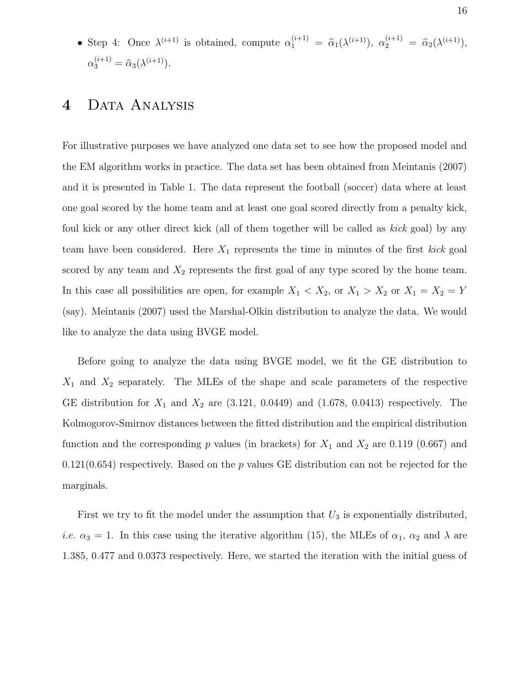• Step 4: Once  $\lambda^{(i+1)}$  is obtained, compute  $\alpha_1^{(i+1)} = \hat{\alpha}_1(\lambda^{(i+1)})$ ,  $\alpha_2^{(i+1)} = \hat{\alpha}_2(\lambda^{(i+1)})$ ,  $\alpha_3^{(i+1)} = \hat{\alpha}_3(\lambda^{(i+1)}).$ 

### 4 DATA ANALYSIS

For illustrative purposes we have analyzed one data set to see how the proposed model and the EM algorithm works in practice. The data set has been obtained from Meintanis (2007) and it is presented in Table 1. The data represent the football (soccer) data where at least one goal scored by the home team and at least one goal scored directly from a penalty kick, foul kick or any other direct kick (all of them together will be called as kick goal) by any team have been considered. Here  $X_1$  represents the time in minutes of the first kick goal scored by any team and  $X_2$  represents the first goal of any type scored by the home team. In this case all possibilities are open, for example  $X_1 < X_2$ , or  $X_1 > X_2$  or  $X_1 = X_2 = Y$ (say). Meintanis (2007) used the Marshal-Olkin distribution to analyze the data. We would like to analyze the data using BVGE model.

Before going to analyze the data using BVGE model, we fit the GE distribution to  $X_1$  and  $X_2$  separately. The MLEs of the shape and scale parameters of the respective GE distribution for  $X_1$  and  $X_2$  are  $(3.121, 0.0449)$  and  $(1.678, 0.0413)$  respectively. The Kolmogorov-Smirnov distances between the fitted distribution and the empirical distribution function and the corresponding p values (in brackets) for  $X_1$  and  $X_2$  are 0.119 (0.667) and  $0.121(0.654)$  respectively. Based on the p values GE distribution can not be rejected for the marginals.

First we try to fit the model under the assumption that  $U_3$  is exponentially distributed, *i.e.*  $\alpha_3 = 1$ . In this case using the iterative algorithm (15), the MLEs of  $\alpha_1$ ,  $\alpha_2$  and  $\lambda$  are 1.385, 0.477 and 0.0373 respectively. Here, we started the iteration with the initial guess of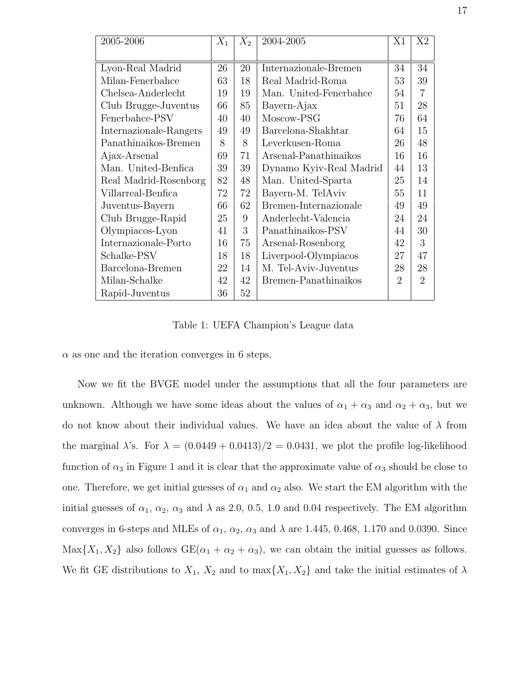| 2005-2006              | $X_1$ | $X_2$ | 2004-2005               | X1             | X <sub>2</sub> |
|------------------------|-------|-------|-------------------------|----------------|----------------|
|                        |       |       |                         |                |                |
| Lyon-Real Madrid       | 26    | 20    | Internazionale-Bremen   | 34             | 34             |
| Milan-Fenerbahce       | 63    | 18    | Real Madrid-Roma        | 53             | 39             |
| Chelsea-Anderlecht     | 19    | 19    | Man. United-Fenerbahce  | 54             | 7              |
| Club Brugge-Juventus   | 66    | 85    | Bayern-Ajax             | 51             | 28             |
| Fenerbahce-PSV         | 40    | 40    | Moscow-PSG              | 76             | 64             |
| Internazionale-Rangers | 49    | 49    | Barcelona-Shakhtar      | 64             | 15             |
| Panathinaikos-Bremen   | 8     | 8     | Leverkusen-Roma         | 26             | 48             |
| Ajax-Arsenal           | 69    | 71    | Arsenal-Panathinaikos   | 16             | 16             |
| Man. United-Benfica    | 39    | 39    | Dynamo Kyiv-Real Madrid | 44             | 13             |
| Real Madrid-Rosenborg  | 82    | 48    | Man. United-Sparta      | 25             | 14             |
| Villarreal-Benfica     | 72    | 72    | Bayern-M. TelAviv       | 55             | 11             |
| Juventus-Bayern        | 66    | 62    | Bremen-Internazionale   | 49             | 49             |
| Club Brugge-Rapid      | 25    | 9     | Anderlecht-Valencia     | 24             | 24             |
| Olympiacos-Lyon        | 41    | 3     | Panathinaikos-PSV       | 44             | 30             |
| Internazionale-Porto   | 16    | 75    | Arsenal-Rosenborg       | 42             | 3              |
| Schalke-PSV            | 18    | 18    | Liverpool-Olympiacos    | 27             | 47             |
| Barcelona-Bremen       | 22    | 14    | M. Tel-Aviv-Juventus    | 28             | 28             |
| Milan-Schalke          | 42    | 42    | Bremen-Panathinaikos    | $\overline{2}$ | $\overline{2}$ |
| Rapid-Juventus         | 36    | 52    |                         |                |                |

Table 1: UEFA Champion's League data

 $\alpha$  as one and the iteration converges in 6 steps.

Now we fit the BVGE model under the assumptions that all the four parameters are unknown. Although we have some ideas about the values of  $\alpha_1 + \alpha_3$  and  $\alpha_2 + \alpha_3$ , but we do not know about their individual values. We have an idea about the value of  $\lambda$  from the marginal  $\lambda$ 's. For  $\lambda = (0.0449 + 0.0413)/2 = 0.0431$ , we plot the profile log-likelihood function of  $\alpha_3$  in Figure 1 and it is clear that the approximate value of  $\alpha_3$  should be close to one. Therefore, we get initial guesses of  $\alpha_1$  and  $\alpha_2$  also. We start the EM algorithm with the initial guesses of  $\alpha_1$ ,  $\alpha_2$ ,  $\alpha_3$  and  $\lambda$  as 2.0, 0.5, 1.0 and 0.04 respectively. The EM algorithm converges in 6-steps and MLEs of  $\alpha_1$ ,  $\alpha_2$ ,  $\alpha_3$  and  $\lambda$  are 1.445, 0.468, 1.170 and 0.0390. Since  $\text{Max}\{X_1, X_2\}$  also follows  $\text{GE}(\alpha_1 + \alpha_2 + \alpha_3)$ , we can obtain the initial guesses as follows. We fit GE distributions to  $X_1$ ,  $X_2$  and to  $\max\{X_1, X_2\}$  and take the initial estimates of  $\lambda$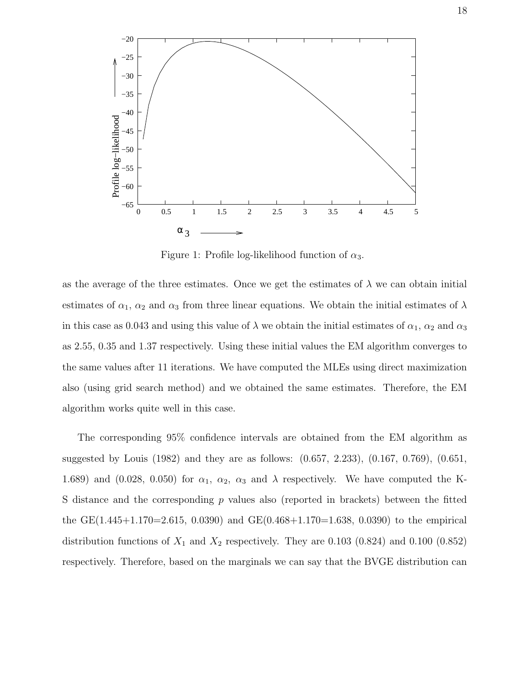

Figure 1: Profile log-likelihood function of  $\alpha_3$ .

as the average of the three estimates. Once we get the estimates of  $\lambda$  we can obtain initial estimates of  $\alpha_1$ ,  $\alpha_2$  and  $\alpha_3$  from three linear equations. We obtain the initial estimates of  $\lambda$ in this case as 0.043 and using this value of  $\lambda$  we obtain the initial estimates of  $\alpha_1$ ,  $\alpha_2$  and  $\alpha_3$ as 2.55, 0.35 and 1.37 respectively. Using these initial values the EM algorithm converges to the same values after 11 iterations. We have computed the MLEs using direct maximization also (using grid search method) and we obtained the same estimates. Therefore, the EM algorithm works quite well in this case.

The corresponding 95% confidence intervals are obtained from the EM algorithm as suggested by Louis (1982) and they are as follows: (0.657, 2.233), (0.167, 0.769), (0.651, 1.689) and (0.028, 0.050) for  $\alpha_1$ ,  $\alpha_2$ ,  $\alpha_3$  and  $\lambda$  respectively. We have computed the K-S distance and the corresponding p values also (reported in brackets) between the fitted the GE(1.445+1.170=2.615, 0.0390) and GE(0.468+1.170=1.638, 0.0390) to the empirical distribution functions of  $X_1$  and  $X_2$  respectively. They are 0.103 (0.824) and 0.100 (0.852) respectively. Therefore, based on the marginals we can say that the BVGE distribution can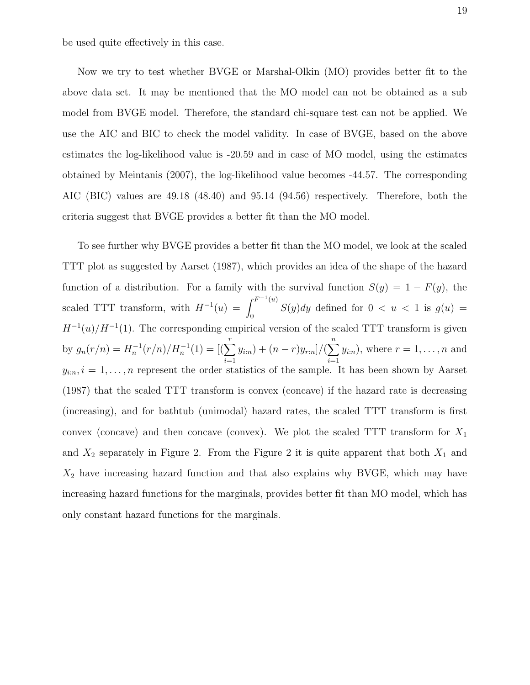be used quite effectively in this case.

Now we try to test whether BVGE or Marshal-Olkin (MO) provides better fit to the above data set. It may be mentioned that the MO model can not be obtained as a sub model from BVGE model. Therefore, the standard chi-square test can not be applied. We use the AIC and BIC to check the model validity. In case of BVGE, based on the above estimates the log-likelihood value is -20.59 and in case of MO model, using the estimates obtained by Meintanis (2007), the log-likelihood value becomes -44.57. The corresponding AIC (BIC) values are 49.18 (48.40) and 95.14 (94.56) respectively. Therefore, both the criteria suggest that BVGE provides a better fit than the MO model.

To see further why BVGE provides a better fit than the MO model, we look at the scaled TTT plot as suggested by Aarset (1987), which provides an idea of the shape of the hazard function of a distribution. For a family with the survival function  $S(y) = 1 - F(y)$ , the scaled TTT transform, with  $H^{-1}(u) =$  $\int F^{-1}(u)$  $S(y)dy$  defined for  $0 < u < 1$  is  $g(u) = 0$  $H^{-1}(u)/H^{-1}(1)$ . The corresponding empirical version of the scaled TTT transform is given by  $g_n(r/n) = H_n^{-1}(r/n)/H_n^{-1}(1) = [(\sum_{n=1}^r$  $i=1$  $(y_{i:n}) + (n-r)y_{r:n}]/(\sum^{n}$  $i=1$  $y_{i:n}$ , where  $r = 1, \ldots, n$  and  $y_{i:n}, i = 1, \ldots, n$  represent the order statistics of the sample. It has been shown by Aarset (1987) that the scaled TTT transform is convex (concave) if the hazard rate is decreasing (increasing), and for bathtub (unimodal) hazard rates, the scaled TTT transform is first convex (concave) and then concave (convex). We plot the scaled TTT transform for  $X_1$ and  $X_2$  separately in Figure 2. From the Figure 2 it is quite apparent that both  $X_1$  and  $X_2$  have increasing hazard function and that also explains why BVGE, which may have increasing hazard functions for the marginals, provides better fit than MO model, which has only constant hazard functions for the marginals.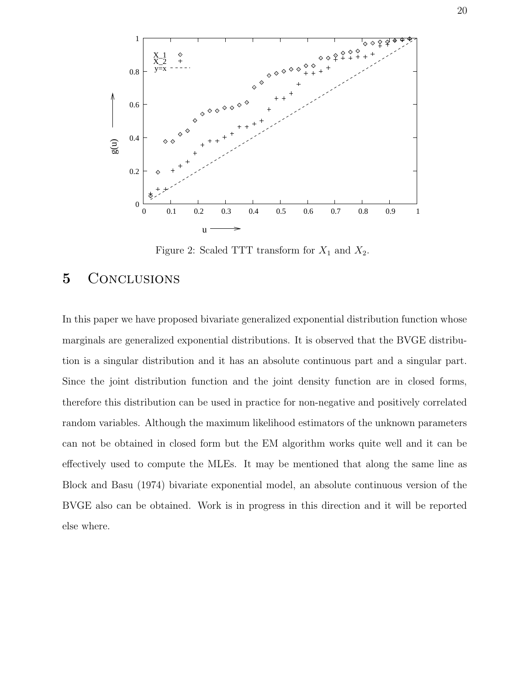

Figure 2: Scaled TTT transform for  $X_1$  and  $X_2$ .

### 5 CONCLUSIONS

In this paper we have proposed bivariate generalized exponential distribution function whose marginals are generalized exponential distributions. It is observed that the BVGE distribution is a singular distribution and it has an absolute continuous part and a singular part. Since the joint distribution function and the joint density function are in closed forms, therefore this distribution can be used in practice for non-negative and positively correlated random variables. Although the maximum likelihood estimators of the unknown parameters can not be obtained in closed form but the EM algorithm works quite well and it can be effectively used to compute the MLEs. It may be mentioned that along the same line as Block and Basu (1974) bivariate exponential model, an absolute continuous version of the BVGE also can be obtained. Work is in progress in this direction and it will be reported else where.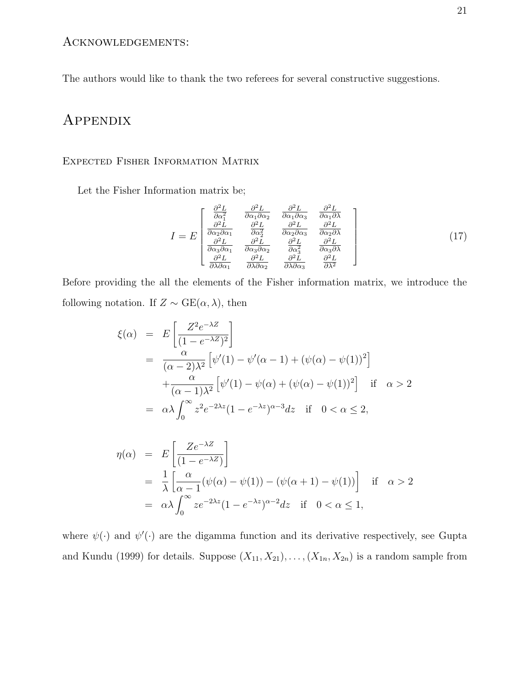The authors would like to thank the two referees for several constructive suggestions.

### Appendix

#### Expected Fisher Information Matrix

Let the Fisher Information matrix be;

$$
I = E \begin{bmatrix} \frac{\partial^2 L}{\partial \alpha_1^2} & \frac{\partial^2 L}{\partial \alpha_1 \partial \alpha_2} & \frac{\partial^2 L}{\partial \alpha_1 \partial \alpha_3} & \frac{\partial^2 L}{\partial \alpha_1 \partial \lambda} \\ \frac{\partial^2 L}{\partial \alpha_2 \partial \alpha_1} & \frac{\partial^2 L}{\partial \alpha_2^2} & \frac{\partial^2 L}{\partial \alpha_2 \partial \alpha_3} & \frac{\partial^2 L}{\partial \alpha_2 \partial \lambda} \\ \frac{\partial^2 L}{\partial \alpha_3 \partial \alpha_1} & \frac{\partial^2 L}{\partial \alpha_3 \partial \alpha_2} & \frac{\partial^2 L}{\partial \alpha_3^2} & \frac{\partial^2 L}{\partial \alpha_3 \partial \lambda} \\ \frac{\partial^2 L}{\partial \lambda \partial \alpha_1} & \frac{\partial^2 L}{\partial \lambda \partial \alpha_2} & \frac{\partial^2 L}{\partial \lambda \partial \alpha_3} & \frac{\partial^2 L}{\partial \lambda^2} \end{bmatrix}
$$
(17)

Before providing the all the elements of the Fisher information matrix, we introduce the following notation. If  $Z \sim \text{GE}(\alpha, \lambda)$ , then

$$
\xi(\alpha) = E\left[\frac{Z^2 e^{-\lambda Z}}{(1 - e^{-\lambda Z})^2}\right]
$$
  
= 
$$
\frac{\alpha}{(\alpha - 2)\lambda^2} \left[\psi'(1) - \psi'(\alpha - 1) + (\psi(\alpha) - \psi(1))^2\right]
$$
  
+ 
$$
\frac{\alpha}{(\alpha - 1)\lambda^2} \left[\psi'(1) - \psi(\alpha) + (\psi(\alpha) - \psi(1))^2\right] \text{ if } \alpha > 2
$$
  
= 
$$
\alpha \lambda \int_0^\infty z^2 e^{-2\lambda z} (1 - e^{-\lambda z})^{\alpha - 3} dz \text{ if } 0 < \alpha \le 2,
$$

$$
\eta(\alpha) = E\left[\frac{Ze^{-\lambda Z}}{(1 - e^{-\lambda Z})}\right]
$$
  
=  $\frac{1}{\lambda} \left[\frac{\alpha}{\alpha - 1}(\psi(\alpha) - \psi(1)) - (\psi(\alpha + 1) - \psi(1))\right]$  if  $\alpha > 2$   
=  $\alpha \lambda \int_0^\infty ze^{-2\lambda z} (1 - e^{-\lambda z})^{\alpha - 2} dz$  if  $0 < \alpha \le 1$ ,

where  $\psi(\cdot)$  and  $\psi'(\cdot)$  are the digamma function and its derivative respectively, see Gupta and Kundu (1999) for details. Suppose  $(X_{11}, X_{21}), \ldots, (X_{1n}, X_{2n})$  is a random sample from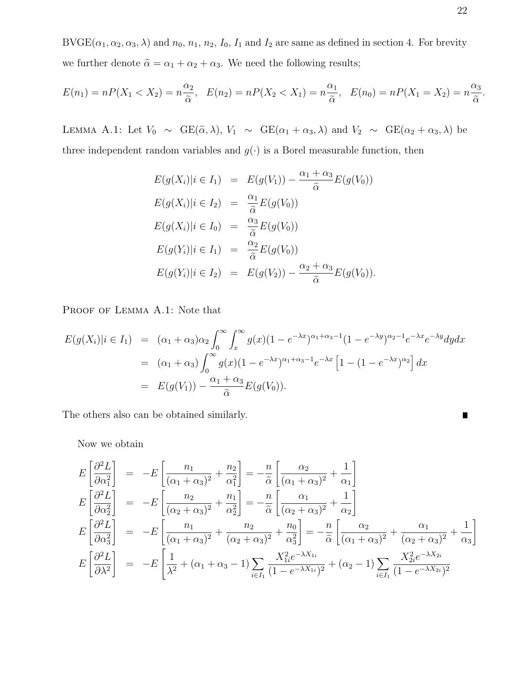$BVGE(\alpha_1, \alpha_2, \alpha_3, \lambda)$  and  $n_0, n_1, n_2, I_0, I_1$  and  $I_2$  are same as defined in section 4. For brevity we further denote  $\tilde{\alpha} = \alpha_1 + \alpha_2 + \alpha_3$ . We need the following results;

$$
E(n_1) = nP(X_1 < X_2) = n\frac{\alpha_2}{\tilde{\alpha}}, \quad E(n_2) = nP(X_2 < X_1) = n\frac{\alpha_1}{\tilde{\alpha}}, \quad E(n_0) = nP(X_1 = X_2) = n\frac{\alpha_3}{\tilde{\alpha}}.
$$

LEMMA A.1: Let  $V_0 \sim \text{GE}(\tilde{\alpha}, \lambda)$ ,  $V_1 \sim \text{GE}(\alpha_1 + \alpha_3, \lambda)$  and  $V_2 \sim \text{GE}(\alpha_2 + \alpha_3, \lambda)$  be three independent random variables and  $g(\cdot)$  is a Borel measurable function, then

$$
E(g(X_i)|i \in I_1) = E(g(V_1)) - \frac{\alpha_1 + \alpha_3}{\tilde{\alpha}} E(g(V_0))
$$
  
\n
$$
E(g(X_i)|i \in I_2) = \frac{\alpha_1}{\tilde{\alpha}} E(g(V_0))
$$
  
\n
$$
E(g(X_i)|i \in I_0) = \frac{\alpha_3}{\tilde{\alpha}} E(g(V_0))
$$
  
\n
$$
E(g(Y_i)|i \in I_1) = \frac{\alpha_2}{\tilde{\alpha}} E(g(V_0))
$$
  
\n
$$
E(g(Y_i)|i \in I_2) = E(g(V_2)) - \frac{\alpha_2 + \alpha_3}{\tilde{\alpha}} E(g(V_0)).
$$

PROOF OF LEMMA A.1: Note that

$$
E(g(X_i)|i \in I_1) = (\alpha_1 + \alpha_3)\alpha_2 \int_0^\infty \int_x^\infty g(x)(1 - e^{-\lambda x})^{\alpha_1 + \alpha_3 - 1} (1 - e^{-\lambda y})^{\alpha_2 - 1} e^{-\lambda x} e^{-\lambda y} dy dx
$$
  

$$
= (\alpha_1 + \alpha_3) \int_0^\infty g(x)(1 - e^{-\lambda x})^{\alpha_1 + \alpha_3 - 1} e^{-\lambda x} \left[1 - (1 - e^{-\lambda x})^{\alpha_2}\right] dx
$$
  

$$
= E(g(V_1)) - \frac{\alpha_1 + \alpha_3}{\tilde{\alpha}} E(g(V_0)).
$$

The others also can be obtained similarly.

Now we obtain

$$
E\left[\frac{\partial^2 L}{\partial \alpha_1^2}\right] = -E\left[\frac{n_1}{(\alpha_1 + \alpha_3)^2} + \frac{n_2}{\alpha_1^2}\right] = -\frac{n}{\tilde{\alpha}}\left[\frac{\alpha_2}{(\alpha_1 + \alpha_3)^2} + \frac{1}{\alpha_1}\right]
$$
  
\n
$$
E\left[\frac{\partial^2 L}{\partial \alpha_2^2}\right] = -E\left[\frac{n_2}{(\alpha_2 + \alpha_3)^2} + \frac{n_1}{\alpha_2^2}\right] = -\frac{n}{\tilde{\alpha}}\left[\frac{\alpha_1}{(\alpha_2 + \alpha_3)^2} + \frac{1}{\alpha_2}\right]
$$
  
\n
$$
E\left[\frac{\partial^2 L}{\partial \alpha_3^2}\right] = -E\left[\frac{n_1}{(\alpha_1 + \alpha_3)^2} + \frac{n_2}{(\alpha_2 + \alpha_3)^2} + \frac{n_0}{\alpha_3^2}\right] = -\frac{n}{\tilde{\alpha}}\left[\frac{\alpha_2}{(\alpha_1 + \alpha_3)^2} + \frac{\alpha_1}{(\alpha_2 + \alpha_3)^2} + \frac{1}{\alpha_3}\right]
$$
  
\n
$$
E\left[\frac{\partial^2 L}{\partial \lambda^2}\right] = -E\left[\frac{1}{\lambda^2} + (\alpha_1 + \alpha_3 - 1)\sum_{i \in I_1} \frac{X_{1i}^2 e^{-\lambda X_{1i}}}{(1 - e^{-\lambda X_{1i}})^2} + (\alpha_2 - 1)\sum_{i \in I_1} \frac{X_{2i}^2 e^{-\lambda X_{2i}}}{(1 - e^{-\lambda X_{2i}})^2}\right]
$$

Г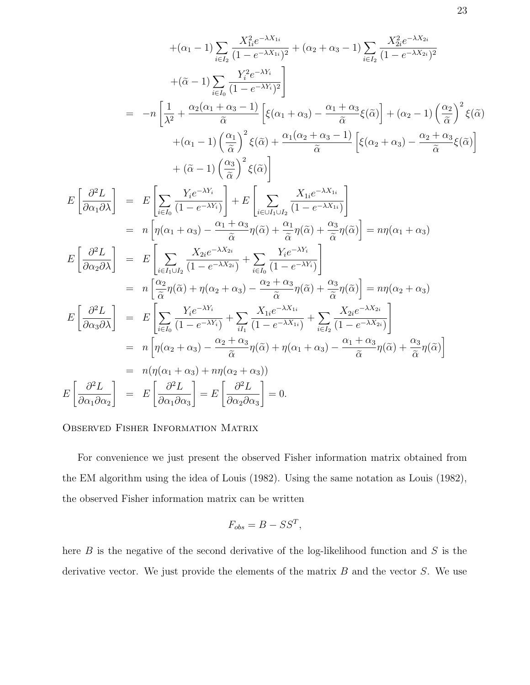$$
+(\alpha_1 - 1) \sum_{i \in I_2} \frac{X_{1i}^2 e^{-\lambda X_{1i}}}{(1 - e^{-\lambda X_{1i}})^2} + (\alpha_2 + \alpha_3 - 1) \sum_{i \in I_2} \frac{X_{2i}^2 e^{-\lambda X_{2i}}}{(1 - e^{-\lambda X_{2i}})^2}
$$
  
\n
$$
+(\tilde{\alpha} - 1) \sum_{i \in I_0} \frac{Y_i^2 e^{-\lambda Y_i}}{(1 - e^{-\lambda Y_i})^2}
$$
  
\n
$$
= -n \left[ \frac{1}{\lambda^2} + \frac{\alpha_2 (\alpha_1 + \alpha_3 - 1)}{\tilde{\alpha}} \left[ \xi(\alpha_1 + \alpha_3) - \frac{\alpha_1 + \alpha_3}{\tilde{\alpha}} \xi(\tilde{\alpha}) \right] + (\alpha_2 - 1) \left( \frac{\alpha_2}{\tilde{\alpha}} \right)^2 \xi(\tilde{\alpha})
$$
  
\n
$$
+(\alpha_1 - 1) \left( \frac{\alpha_3}{\tilde{\alpha}} \right)^2 \xi(\tilde{\alpha}) \right]
$$
  
\n
$$
E \left[ \frac{\partial^2 L}{\partial \alpha_1 \partial \lambda} \right] = E \left[ \sum_{i \in I_0} \frac{Y_i e^{-\lambda Y_i}}{(1 - e^{-\lambda Y_i})} \right] + E \left[ \sum_{i \in \cup I_1 \cup I_2} \frac{X_{1i} e^{-\lambda X_{1i}}}{(1 - e^{-\lambda X_{1i}})} \right]
$$
  
\n
$$
= n \left[ \eta(\alpha_1 + \alpha_3) - \frac{\alpha_1 + \alpha_3}{\tilde{\alpha}} \eta(\tilde{\alpha}) + \frac{\alpha_1}{\tilde{\alpha}} \eta(\tilde{\alpha}) + \frac{\alpha_3}{\tilde{\alpha}} \eta(\tilde{\alpha}) \right] = n\eta(\alpha_1 + \alpha_3)
$$
  
\n
$$
E \left[ \frac{\partial^2 L}{\partial \alpha_2 \partial \lambda} \right] = E \left[ \sum_{i \in I_1 \cup I_2} \frac{X_{2i} e^{-\lambda Y_{2i}}}{(1 - e^{-\lambda Y_{2i}})} + \sum_{i \in I_0} \frac{Y_i e^{-\lambda Y_i}}{(1 - e^{-\lambda Y_i})} \right]
$$
  
\n
$$
= n \left[ \frac{\alpha_2}{\tilde{\alpha
$$

#### Observed Fisher Information Matrix

For convenience we just present the observed Fisher information matrix obtained from the EM algorithm using the idea of Louis (1982). Using the same notation as Louis (1982), the observed Fisher information matrix can be written

$$
F_{obs} = B - SS^T,
$$

here  $B$  is the negative of the second derivative of the log-likelihood function and  $S$  is the derivative vector. We just provide the elements of the matrix  $B$  and the vector  $S$ . We use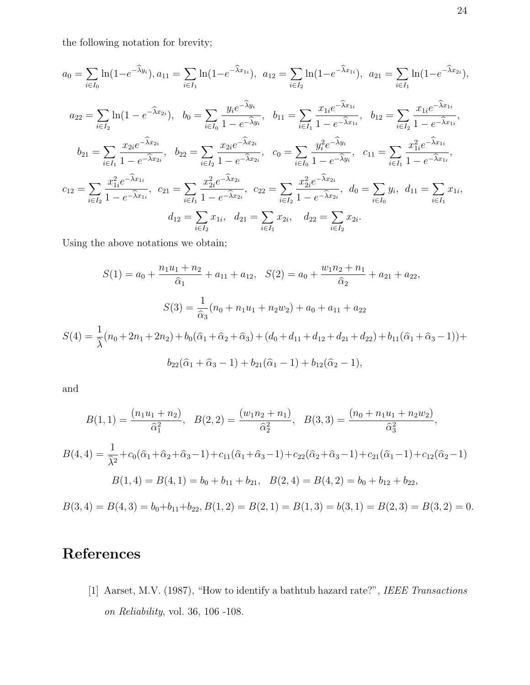the following notation for brevity;

$$
a_0 = \sum_{i \in I_0} \ln(1 - e^{-\hat{\lambda}y_i}), a_{11} = \sum_{i \in I_1} \ln(1 - e^{-\hat{\lambda}x_{1i}}), a_{12} = \sum_{i \in I_2} \ln(1 - e^{-\hat{\lambda}x_{1i}}), a_{21} = \sum_{i \in I_1} \ln(1 - e^{-\hat{\lambda}x_{2i}}),
$$
  
\n
$$
a_{22} = \sum_{i \in I_2} \ln(1 - e^{-\hat{\lambda}x_{2i}}), b_0 = \sum_{i \in I_0} \frac{y_i e^{-\hat{\lambda}y_i}}{1 - e^{-\hat{\lambda}y_i}}, b_{11} = \sum_{i \in I_1} \frac{x_{1i} e^{-\hat{\lambda}x_{1i}}}{1 - e^{-\hat{\lambda}x_{1i}}}, b_{12} = \sum_{i \in I_2} \frac{x_{1i} e^{-\hat{\lambda}x_{1i}}}{1 - e^{-\hat{\lambda}x_{1i}}},
$$
  
\n
$$
b_{21} = \sum_{i \in I_1} \frac{x_{2i} e^{-\hat{\lambda}x_{2i}}}{1 - e^{-\hat{\lambda}x_{2i}}}, b_{22} = \sum_{i \in I_2} \frac{x_{2i} e^{-\hat{\lambda}x_{2i}}}{1 - e^{-\hat{\lambda}x_{2i}}}, c_0 = \sum_{i \in I_0} \frac{y_i^2 e^{-\hat{\lambda}y_i}}{1 - e^{-\hat{\lambda}y_i}}, c_{11} = \sum_{i \in I_1} \frac{x_{1i}^2 e^{-\hat{\lambda}x_{1i}}}{1 - e^{-\hat{\lambda}x_{1i}}},
$$
  
\n
$$
c_{12} = \sum_{i \in I_2} \frac{x_{1i}^2 e^{-\hat{\lambda}x_{1i}}}{1 - e^{-\hat{\lambda}x_{1i}}}, c_{21} = \sum_{i \in I_1} \frac{x_{2i}^2 e^{-\hat{\lambda}x_{2i}}}{1 - e^{-\hat{\lambda}x_{2i}}}, c_{22} = \sum_{i \in I_2} \frac{x_{2i}^2 e^{-\hat{\lambda}x_{2i}}}{1 - e^{-\hat{\lambda}x_{2i}}}, d_0 = \sum_{i \in I_0} y_i, d_{11} = \sum_{i \in I_1} x_{1i}, d_{12} = \sum_{i \in I_2} x_{
$$

Using the above notations we obtain;

$$
S(1) = a_0 + \frac{n_1 u_1 + n_2}{\hat{\alpha}_1} + a_{11} + a_{12}, \quad S(2) = a_0 + \frac{w_1 n_2 + n_1}{\hat{\alpha}_2} + a_{21} + a_{22},
$$

$$
S(3) = \frac{1}{\hat{\alpha}_3} (n_0 + n_1 u_1 + n_2 w_2) + a_0 + a_{11} + a_{22}
$$

$$
S(4) = \frac{1}{\hat{\lambda}} (n_0 + 2n_1 + 2n_2) + b_0 (\hat{\alpha}_1 + \hat{\alpha}_2 + \hat{\alpha}_3) + (d_0 + d_{11} + d_{12} + d_{21} + d_{22}) + b_{11} (\hat{\alpha}_1 + \hat{\alpha}_3 - 1)) +
$$

$$
b_{22} (\hat{\alpha}_1 + \hat{\alpha}_3 - 1) + b_{21} (\hat{\alpha}_1 - 1) + b_{12} (\hat{\alpha}_2 - 1),
$$

and

$$
B(1, 1) = \frac{(n_1u_1 + n_2)}{\hat{\alpha}_1^2}, \quad B(2, 2) = \frac{(w_1n_2 + n_1)}{\hat{\alpha}_2^2}, \quad B(3, 3) = \frac{(n_0 + n_1u_1 + n_2w_2)}{\hat{\alpha}_3^2},
$$

$$
B(4, 4) = \frac{1}{\hat{\lambda}^2} + c_0(\hat{\alpha}_1 + \hat{\alpha}_2 + \hat{\alpha}_3 - 1) + c_{11}(\hat{\alpha}_1 + \hat{\alpha}_3 - 1) + c_{22}(\hat{\alpha}_2 + \hat{\alpha}_3 - 1) + c_{21}(\hat{\alpha}_1 - 1) + c_{12}(\hat{\alpha}_2 - 1)
$$

$$
B(1, 4) = B(4, 1) = b_0 + b_{11} + b_{21}, \quad B(2, 4) = B(4, 2) = b_0 + b_{12} + b_{22},
$$

$$
B(3,4) = B(4,3) = b_0 + b_{11} + b_{22}, B(1,2) = B(2,1) = B(1,3) = b(3,1) = B(2,3) = B(3,2) = 0.
$$

## References

[1] Aarset, M.V. (1987), "How to identify a bathtub hazard rate?", IEEE Transactions on Reliability, vol. 36, 106 -108.